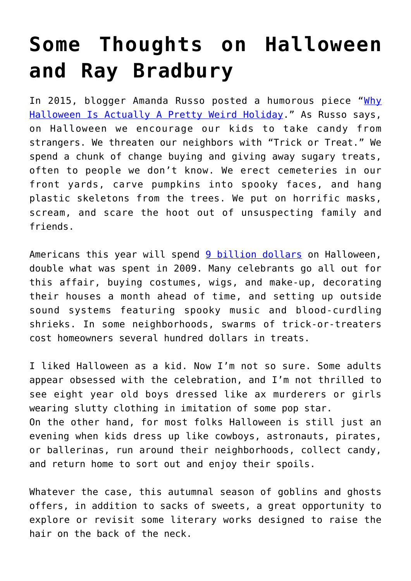## **[Some Thoughts on Halloween](https://intellectualtakeout.org/2018/10/some-thoughts-on-halloween-and-ray-bradbury/) [and Ray Bradbury](https://intellectualtakeout.org/2018/10/some-thoughts-on-halloween-and-ray-bradbury/)**

In 2015, blogger Amanda Russo posted a humorous piece "[Why](https://www.mommynearest.com/article/why-halloween-is-actually-a-pretty-weird-holiday) [Halloween Is Actually A Pretty Weird Holiday](https://www.mommynearest.com/article/why-halloween-is-actually-a-pretty-weird-holiday)." As Russo says, on Halloween we encourage our kids to take candy from strangers. We threaten our neighbors with "Trick or Treat." We spend a chunk of change buying and giving away sugary treats, often to people we don't know. We erect cemeteries in our front yards, carve pumpkins into spooky faces, and hang plastic skeletons from the trees. We put on horrific masks, scream, and scare the hoot out of unsuspecting family and friends.

Americans this year will spend [9 billion dollars](https://www.forbes.com/sites/niallmccarthy/2018/10/30/americans-are-expected-to-spend-9-billion-on-halloween-this-year-infographic/#5f6f2c112a14) on Halloween, double what was spent in 2009. Many celebrants go all out for this affair, buying costumes, wigs, and make-up, decorating their houses a month ahead of time, and setting up outside sound systems featuring spooky music and blood-curdling shrieks. In some neighborhoods, swarms of trick-or-treaters cost homeowners several hundred dollars in treats.

I liked Halloween as a kid. Now I'm not so sure. Some adults appear obsessed with the celebration, and I'm not thrilled to see eight year old boys dressed like ax murderers or girls wearing slutty clothing in imitation of some pop star. On the other hand, for most folks Halloween is still just an evening when kids dress up like cowboys, astronauts, pirates, or ballerinas, run around their neighborhoods, collect candy, and return home to sort out and enjoy their spoils.

Whatever the case, this autumnal season of goblins and ghosts offers, in addition to sacks of sweets, a great opportunity to explore or revisit some literary works designed to raise the hair on the back of the neck.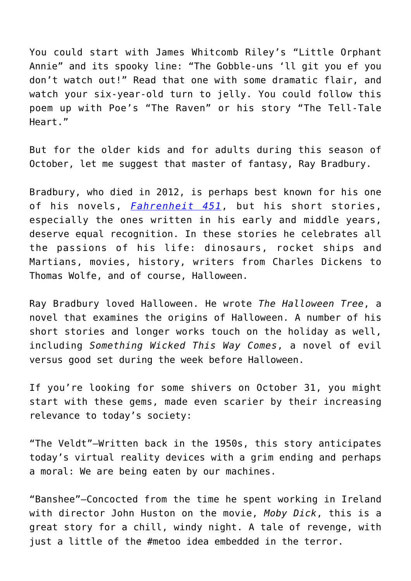You could start with James Whitcomb Riley's "Little Orphant Annie" and its spooky line: "The Gobble-uns 'll git you ef you don't watch out!" Read that one with some dramatic flair, and watch your six-year-old turn to jelly. You could follow this poem up with Poe's "The Raven" or his story "The Tell-Tale Heart."

But for the older kids and for adults during this season of October, let me suggest that master of fantasy, Ray Bradbury.

Bradbury, who died in 2012, is perhaps best known for his one of his novels, *[Fahrenheit 451](https://www.amazon.com/gp/product/1451673310/ref=as_li_qf_asin_il_tl?ie=UTF8&tag=intelltakeo0d-20&creative=9325&linkCode=as2&creativeASIN=1451673310&linkId=9c6448387d7479e9fe85bebc2f6073c0)*, but his short stories, especially the ones written in his early and middle years, deserve equal recognition. In these stories he celebrates all the passions of his life: dinosaurs, rocket ships and Martians, movies, history, writers from Charles Dickens to Thomas Wolfe, and of course, Halloween.

Ray Bradbury loved Halloween. He wrote *The Halloween Tree*, a novel that examines the origins of Halloween. A number of his short stories and longer works touch on the holiday as well, including *Something Wicked This Way Comes*, a novel of evil versus good set during the week before Halloween.

If you're looking for some shivers on October 31, you might start with these gems, made even scarier by their increasing relevance to today's society:

"The Veldt"—Written back in the 1950s, this story anticipates today's virtual reality devices with a grim ending and perhaps a moral: We are being eaten by our machines.

"Banshee"—Concocted from the time he spent working in Ireland with director John Huston on the movie, *Moby Dick*, this is a great story for a chill, windy night. A tale of revenge, with just a little of the #metoo idea embedded in the terror.